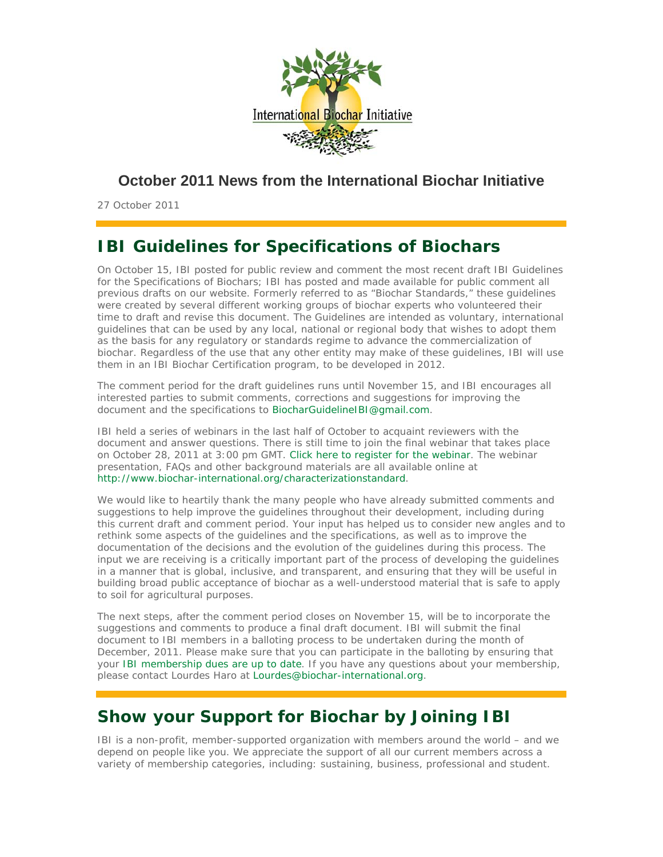

## **October 2011 News from the International Biochar Initiative**

27 October 2011

# **IBI Guidelines for Specifications of Biochars**

On October 15, IBI posted for public review and comment the most recent draft IBI Guidelines for the Specifications of Biochars; IBI has posted and made available for public comment all previous drafts on our website. Formerly referred to as "Biochar Standards," these guidelines were created by several different working groups of biochar experts who volunteered their time to draft and revise this document. The Guidelines are intended as voluntary, international guidelines that can be used by any local, national or regional body that wishes to adopt them as the basis for any regulatory or standards regime to advance the commercialization of biochar. Regardless of the use that any other entity may make of these guidelines, IBI will use them in an IBI Biochar Certification program, to be developed in 2012.

The comment period for the draft guidelines runs until November 15, and IBI encourages all interested parties to submit comments, corrections and suggestions for improving the document and the specifications to BiocharGuidelineIBI@gmail.com.

IBI held a series of webinars in the last half of October to acquaint reviewers with the document and answer questions. There is still time to join the final webinar that takes place on October 28, 2011 at 3:00 pm GMT. Click here to register for the webinar. The webinar presentation, FAQs and other background materials are all available online at http://www.biochar-international.org/characterizationstandard.

We would like to heartily thank the many people who have already submitted comments and suggestions to help improve the guidelines throughout their development, including during this current draft and comment period. Your input has helped us to consider new angles and to rethink some aspects of the guidelines and the specifications, as well as to improve the documentation of the decisions and the evolution of the guidelines during this process. The input we are receiving is a critically important part of the process of developing the guidelines in a manner that is global, inclusive, and transparent, and ensuring that they will be useful in building broad public acceptance of biochar as a well-understood material that is safe to apply to soil for agricultural purposes.

The next steps, after the comment period closes on November 15, will be to incorporate the suggestions and comments to produce a final draft document. IBI will submit the final document to IBI members in a balloting process to be undertaken during the month of December, 2011. Please make sure that you can participate in the balloting by ensuring that your IBI membership dues are up to date. If you have any questions about your membership, please contact Lourdes Haro at Lourdes@biochar-international.org.

# **Show your Support for Biochar by Joining IBI**

IBI is a non-profit, member-supported organization with members around the world – and we depend on people like you. We appreciate the support of all our current members across a variety of membership categories, including: sustaining, business, professional and student.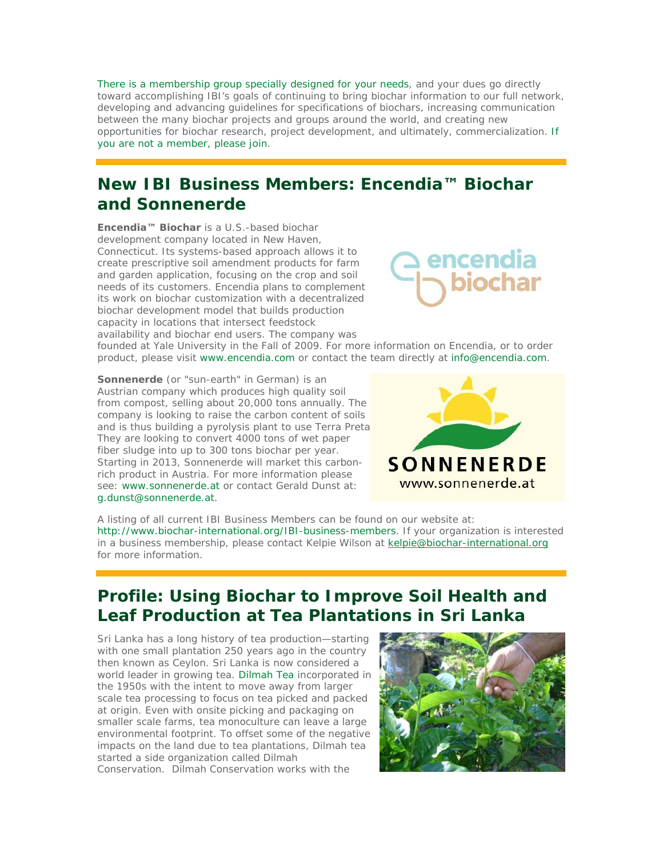There is a membership group specially designed for your needs, and your dues go directly toward accomplishing IBI's goals of continuing to bring biochar information to our full network, developing and advancing guidelines for specifications of biochars, increasing communication between the many biochar projects and groups around the world, and creating new opportunities for biochar research, project development, and ultimately, commercialization. If you are not a member, please join.

# **New IBI Business Members: Encendia™ Biochar and Sonnenerde**

**Encendia™ Biochar** is a U.S.-based biochar development company located in New Haven, Connecticut. Its systems-based approach allows it to create prescriptive soil amendment products for farm and garden application, focusing on the crop and soil needs of its customers. Encendia plans to complement its work on biochar customization with a decentralized biochar development model that builds production capacity in locations that intersect feedstock availability and biochar end users. The company was



founded at Yale University in the Fall of 2009. For more information on Encendia, or to order product, please visit www.encendia.com or contact the team directly at info@encendia.com.

**Sonnenerde** (or "sun-earth" in German) is an Austrian company which produces high quality soil from compost, selling about 20,000 tons annually. The company is looking to raise the carbon content of soils and is thus building a pyrolysis plant to use Terra Preta They are looking to convert 4000 tons of wet paper fiber sludge into up to 300 tons biochar per year. Starting in 2013, Sonnenerde will market this carbonrich product in Austria. For more information please see: www.sonnenerde.at or contact Gerald Dunst at: g.dunst@sonnenerde.at.



A listing of all current IBI Business Members can be found on our website at: http://www.biochar-international.org/IBI-business-members. If your organization is interested in a business membership, please contact Kelpie Wilson at kelpie@biochar-international.org for more information.

# **Profile: Using Biochar to Improve Soil Health and Leaf Production at Tea Plantations in Sri Lanka**

Sri Lanka has a long history of tea production—starting with one small plantation 250 years ago in the country then known as Ceylon. Sri Lanka is now considered a world leader in growing tea. Dilmah Tea incorporated in the 1950s with the intent to move away from larger scale tea processing to focus on tea picked and packed at origin. Even with onsite picking and packaging on smaller scale farms, tea monoculture can leave a large environmental footprint. To offset some of the negative impacts on the land due to tea plantations, Dilmah tea started a side organization called Dilmah Conservation. Dilmah Conservation works with the

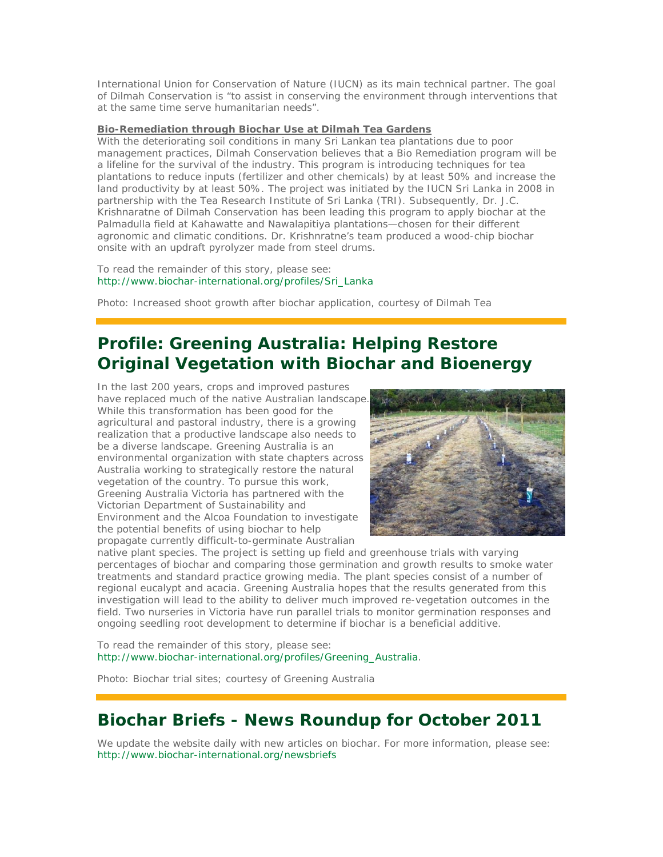International Union for Conservation of Nature (IUCN) as its main technical partner. The goal of Dilmah Conservation is "to assist in conserving the environment through interventions that at the same time serve humanitarian needs".

### **Bio-Remediation through Biochar Use at Dilmah Tea Gardens**

With the deteriorating soil conditions in many Sri Lankan tea plantations due to poor management practices, Dilmah Conservation believes that a Bio Remediation program will be a lifeline for the survival of the industry. This program is introducing techniques for tea plantations to reduce inputs (fertilizer and other chemicals) by at least 50% and increase the land productivity by at least 50%. The project was initiated by the IUCN Sri Lanka in 2008 in partnership with the Tea Research Institute of Sri Lanka (TRI). Subsequently, Dr. J.C. Krishnaratne of Dilmah Conservation has been leading this program to apply biochar at the Palmadulla field at Kahawatte and Nawalapitiya plantations—chosen for their different agronomic and climatic conditions. Dr. Krishnratne's team produced a wood-chip biochar onsite with an updraft pyrolyzer made from steel drums.

To read the remainder of this story, please see: http://www.biochar-international.org/profiles/Sri\_Lanka

Photo: Increased shoot growth after biochar application, courtesy of Dilmah Tea

# **Profile: Greening Australia: Helping Restore Original Vegetation with Biochar and Bioenergy**

In the last 200 years, crops and improved pastures have replaced much of the native Australian landscape. While this transformation has been good for the agricultural and pastoral industry, there is a growing realization that a productive landscape also needs to be a diverse landscape. Greening Australia is an environmental organization with state chapters across Australia working to strategically restore the natural vegetation of the country. To pursue this work, Greening Australia Victoria has partnered with the Victorian Department of Sustainability and Environment and the Alcoa Foundation to investigate the potential benefits of using biochar to help propagate currently difficult-to-germinate Australian



native plant species. The project is setting up field and greenhouse trials with varying percentages of biochar and comparing those germination and growth results to smoke water treatments and standard practice growing media. The plant species consist of a number of regional eucalypt and acacia. Greening Australia hopes that the results generated from this investigation will lead to the ability to deliver much improved re-vegetation outcomes in the field. Two nurseries in Victoria have run parallel trials to monitor germination responses and ongoing seedling root development to determine if biochar is a beneficial additive.

To read the remainder of this story, please see: http://www.biochar-international.org/profiles/Greening\_Australia.

Photo: Biochar trial sites; courtesy of Greening Australia

# **Biochar Briefs - News Roundup for October 2011**

We update the website daily with new articles on biochar. For more information, please see: http://www.biochar-international.org/newsbriefs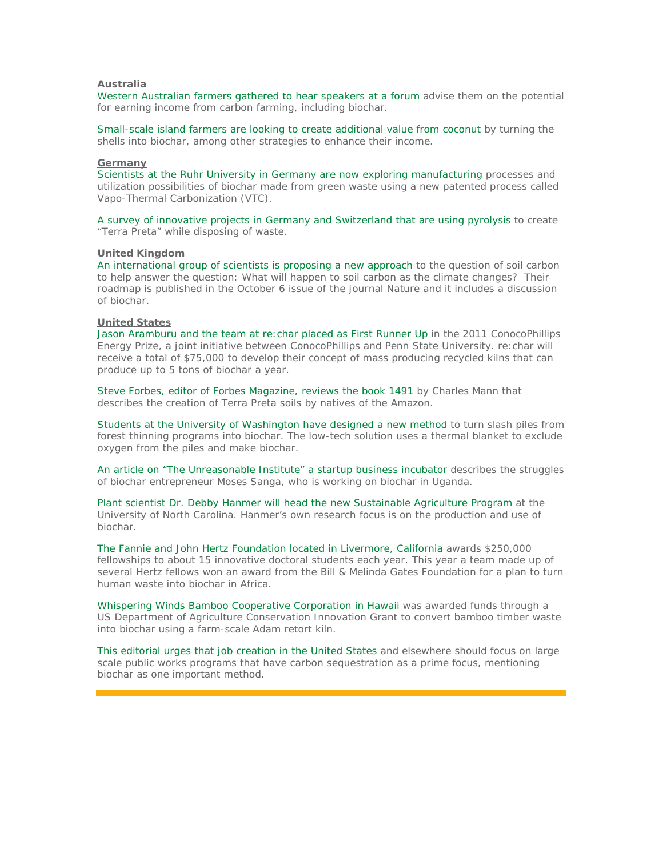### **Australia**

Western Australian farmers gathered to hear speakers at a forum advise them on the potential for earning income from carbon farming, including biochar.

Small-scale island farmers are looking to create additional value from coconut by turning the shells into biochar, among other strategies to enhance their income.

#### **Germany**

Scientists at the Ruhr University in Germany are now exploring manufacturing processes and utilization possibilities of biochar made from green waste using a new patented process called Vapo-Thermal Carbonization (VTC).

A survey of innovative projects in Germany and Switzerland that are using pyrolysis to create "Terra Preta" while disposing of waste.

#### **United Kingdom**

An international group of scientists is proposing a new approach to the question of soil carbon to help answer the question: What will happen to soil carbon as the climate changes? Their roadmap is published in the October 6 issue of the journal Nature and it includes a discussion of biochar.

### **United States**

Jason Aramburu and the team at *re:char* placed as First Runner Up in the 2011 ConocoPhillips Energy Prize, a joint initiative between ConocoPhillips and Penn State University. *re:char* will receive a total of \$75,000 to develop their concept of mass producing recycled kilns that can produce up to 5 tons of biochar a year.

Steve Forbes, editor of Forbes Magazine, reviews the book *1491* by Charles Mann that describes the creation of Terra Preta soils by natives of the Amazon.

Students at the University of Washington have designed a new method to turn slash piles from forest thinning programs into biochar. The low-tech solution uses a thermal blanket to exclude oxygen from the piles and make biochar.

An article on "The Unreasonable Institute" a startup business incubator describes the struggles of biochar entrepreneur Moses Sanga, who is working on biochar in Uganda.

Plant scientist Dr. Debby Hanmer will head the new Sustainable Agriculture Program at the University of North Carolina. Hanmer's own research focus is on the production and use of biochar.

The Fannie and John Hertz Foundation located in Livermore, California awards \$250,000 fellowships to about 15 innovative doctoral students each year. This year a team made up of several Hertz fellows won an award from the Bill & Melinda Gates Foundation for a plan to turn human waste into biochar in Africa.

Whispering Winds Bamboo Cooperative Corporation in Hawaii was awarded funds through a US Department of Agriculture Conservation Innovation Grant to convert bamboo timber waste into biochar using a farm-scale Adam retort kiln.

This editorial urges that job creation in the United States and elsewhere should focus on large scale public works programs that have carbon sequestration as a prime focus, mentioning biochar as one important method.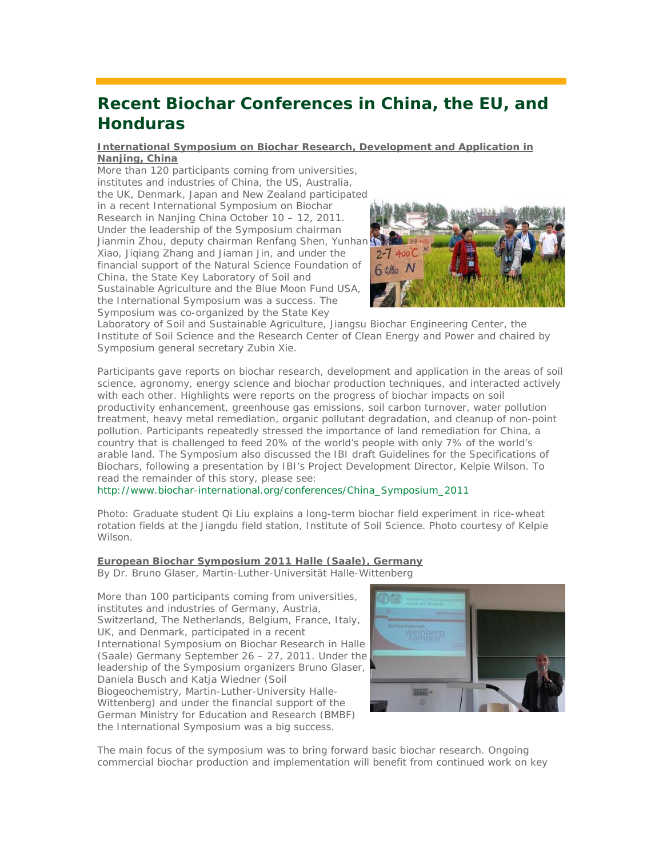# **Recent Biochar Conferences in China, the EU, and Honduras**

### **International Symposium on Biochar Research, Development and Application in Nanjing, China**

More than 120 participants coming from universities, institutes and industries of China, the US, Australia, the UK, Denmark, Japan and New Zealand participated in a recent International Symposium on Biochar Research in Nanjing China October 10 – 12, 2011. Under the leadership of the Symposium chairman Jianmin Zhou, deputy chairman Renfang Shen, Yunhan Xiao, Jiqiang Zhang and Jiaman Jin, and under the financial support of the Natural Science Foundation of China, the State Key Laboratory of Soil and Sustainable Agriculture and the Blue Moon Fund USA, the International Symposium was a success. The Symposium was co-organized by the State Key



Laboratory of Soil and Sustainable Agriculture, Jiangsu Biochar Engineering Center, the Institute of Soil Science and the Research Center of Clean Energy and Power and chaired by Symposium general secretary Zubin Xie.

Participants gave reports on biochar research, development and application in the areas of soil science, agronomy, energy science and biochar production techniques, and interacted actively with each other. Highlights were reports on the progress of biochar impacts on soil productivity enhancement, greenhouse gas emissions, soil carbon turnover, water pollution treatment, heavy metal remediation, organic pollutant degradation, and cleanup of non-point pollution. Participants repeatedly stressed the importance of land remediation for China, a country that is challenged to feed 20% of the world's people with only 7% of the world's arable land. The Symposium also discussed the IBI draft Guidelines for the Specifications of Biochars, following a presentation by IBI's Project Development Director, Kelpie Wilson. To read the remainder of this story, please see:

http://www.biochar-international.org/conferences/China\_Symposium\_2011

Photo: Graduate student Qi Liu explains a long-term biochar field experiment in rice-wheat rotation fields at the Jiangdu field station, Institute of Soil Science. Photo courtesy of Kelpie Wilson.

### **European Biochar Symposium 2011 Halle (Saale), Germany**

*By Dr. Bruno Glaser, Martin-Luther-Universität Halle-Wittenberg*

More than 100 participants coming from universities, institutes and industries of Germany, Austria, Switzerland, The Netherlands, Belgium, France, Italy, UK, and Denmark, participated in a recent International Symposium on Biochar Research in Halle (Saale) Germany September 26 – 27, 2011. Under the leadership of the Symposium organizers Bruno Glaser, Daniela Busch and Katja Wiedner (Soil Biogeochemistry, Martin-Luther-University Halle-Wittenberg) and under the financial support of the German Ministry for Education and Research (BMBF) the International Symposium was a big success.



The main focus of the symposium was to bring forward basic biochar research. Ongoing commercial biochar production and implementation will benefit from continued work on key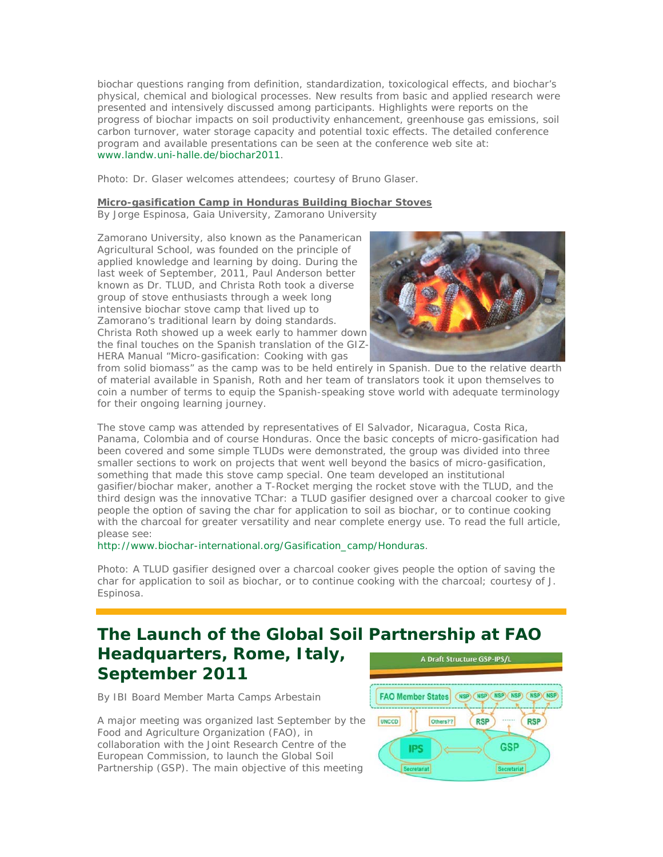biochar questions ranging from definition, standardization, toxicological effects, and biochar's physical, chemical and biological processes. New results from basic and applied research were presented and intensively discussed among participants. Highlights were reports on the progress of biochar impacts on soil productivity enhancement, greenhouse gas emissions, soil carbon turnover, water storage capacity and potential toxic effects. The detailed conference program and available presentations can be seen at the conference web site at: www.landw.uni-halle.de/biochar2011.

Photo: Dr. Glaser welcomes attendees; courtesy of Bruno Glaser.

### **Micro-gasification Camp in Honduras Building Biochar Stoves**

*By Jorge Espinosa, Gaia University, Zamorano University*

Zamorano University, also known as the Panamerican Agricultural School, was founded on the principle of applied knowledge and learning by doing. During the last week of September, 2011, Paul Anderson better known as Dr. TLUD, and Christa Roth took a diverse group of stove enthusiasts through a week long intensive biochar stove camp that lived up to Zamorano's traditional learn by doing standards. Christa Roth showed up a week early to hammer down the final touches on the Spanish translation of the GIZ-HERA Manual "Micro-gasification: Cooking with gas



from solid biomass" as the camp was to be held entirely in Spanish. Due to the relative dearth of material available in Spanish, Roth and her team of translators took it upon themselves to coin a number of terms to equip the Spanish-speaking stove world with adequate terminology for their ongoing learning journey.

The stove camp was attended by representatives of El Salvador, Nicaragua, Costa Rica, Panama, Colombia and of course Honduras. Once the basic concepts of micro-gasification had been covered and some simple TLUDs were demonstrated, the group was divided into three smaller sections to work on projects that went well beyond the basics of micro-gasification, something that made this stove camp special. One team developed an institutional gasifier/biochar maker, another a T-Rocket merging the rocket stove with the TLUD, and the third design was the innovative TChar: a TLUD gasifier designed over a charcoal cooker to give people the option of saving the char for application to soil as biochar, or to continue cooking with the charcoal for greater versatility and near complete energy use. To read the full article, please see:

http://www.biochar-international.org/Gasification\_camp/Honduras.

Photo: A TLUD gasifier designed over a charcoal cooker gives people the option of saving the char for application to soil as biochar, or to continue cooking with the charcoal; courtesy of J. Espinosa.

### **The Launch of the Global Soil Partnership at FAO Headquarters, Rome, Italy,**  A Draft Structure GSP-IPS/L **September 2011**

*By IBI Board Member Marta Camps Arbestain*

A major meeting was organized last September by the Food and Agriculture Organization (FAO), in collaboration with the Joint Research Centre of the European Commission, to launch the Global Soil Partnership (GSP). The main objective of this meeting

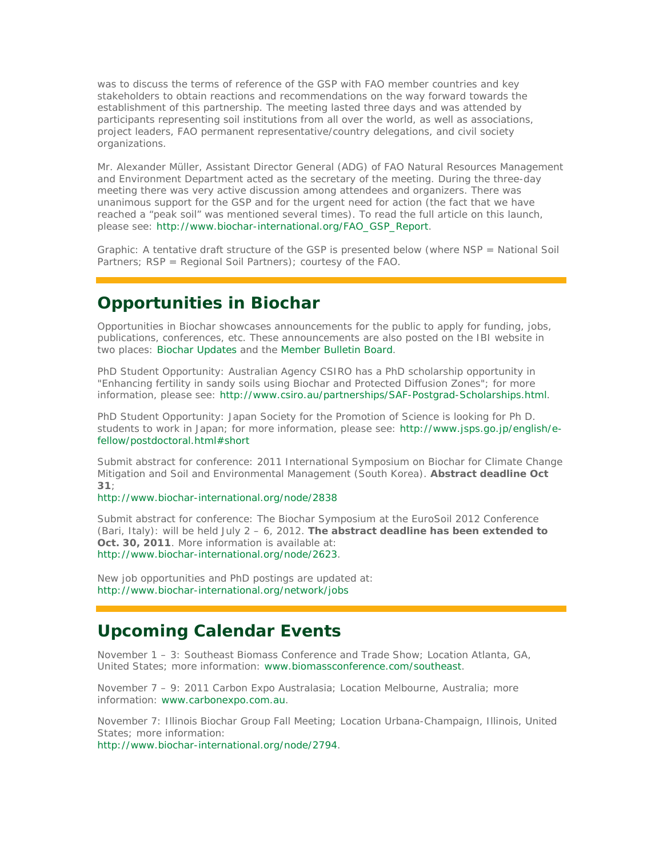was to discuss the terms of reference of the GSP with FAO member countries and key stakeholders to obtain reactions and recommendations on the way forward towards the establishment of this partnership. The meeting lasted three days and was attended by participants representing soil institutions from all over the world, as well as associations, project leaders, FAO permanent representative/country delegations, and civil society organizations.

Mr. Alexander Müller, Assistant Director General (ADG) of FAO Natural Resources Management and Environment Department acted as the secretary of the meeting. During the three-day meeting there was very active discussion among attendees and organizers. There was unanimous support for the GSP and for the urgent need for action (the fact that we have reached a "peak soil" was mentioned several times). To read the full article on this launch, please see: http://www.biochar-international.org/FAO\_GSP\_Report.

Graphic: A tentative draft structure of the GSP is presented below (where NSP = National Soil Partners; RSP = Regional Soil Partners); courtesy of the FAO.

## **Opportunities in Biochar**

*Opportunities in Biochar* showcases announcements for the public to apply for funding, jobs, publications, conferences, etc. These announcements are also posted on the IBI website in two places: Biochar Updates and the Member Bulletin Board.

*PhD Student Opportunity*: Australian Agency CSIRO has a PhD scholarship opportunity in "Enhancing fertility in sandy soils using Biochar and Protected Diffusion Zones"; for more information, please see: http://www.csiro.au/partnerships/SAF-Postgrad-Scholarships.html.

*PhD Student Opportunity*: Japan Society for the Promotion of Science is looking for Ph D. students to work in Japan; for more information, please see: http://www.jsps.go.jp/english/efellow/postdoctoral.html#short

*Submit abstract for conference*: 2011 International Symposium on Biochar for Climate Change Mitigation and Soil and Environmental Management (South Korea). **Abstract deadline Oct 31**;

http://www.biochar-international.org/node/2838

*Submit abstract for conference*: The Biochar Symposium at the EuroSoil 2012 Conference (Bari, Italy): will be held July 2 – 6, 2012. **The abstract deadline has been extended to Oct. 30, 2011**. More information is available at: http://www.biochar-international.org/node/2623.

New job opportunities and PhD postings are updated at: http://www.biochar-international.org/network/jobs

## **Upcoming Calendar Events**

November 1 – 3: Southeast Biomass Conference and Trade Show; Location Atlanta, GA, United States; more information: www.biomassconference.com/southeast.

November 7 – 9: 2011 Carbon Expo Australasia; Location Melbourne, Australia; more information: www.carbonexpo.com.au.

November 7: Illinois Biochar Group Fall Meeting; Location Urbana-Champaign, Illinois, United States; more information:

http://www.biochar-international.org/node/2794.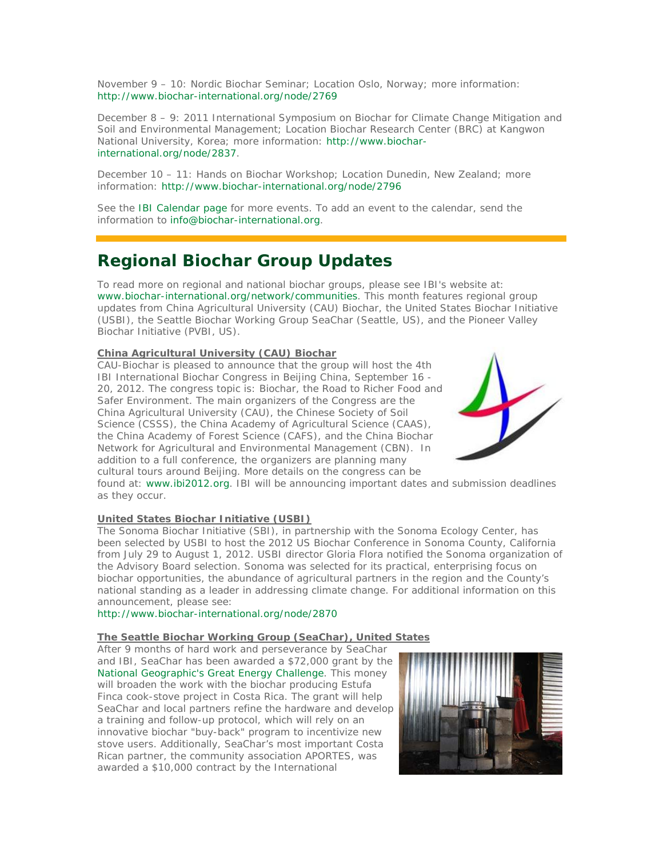November 9 – 10: Nordic Biochar Seminar; Location Oslo, Norway; more information: http://www.biochar-international.org/node/2769

December 8 – 9: 2011 International Symposium on Biochar for Climate Change Mitigation and Soil and Environmental Management; Location Biochar Research Center (BRC) at Kangwon National University, Korea; more information: http://www.biocharinternational.org/node/2837.

December 10 – 11: Hands on Biochar Workshop; Location Dunedin, New Zealand; more information: http://www.biochar-international.org/node/2796

See the IBI Calendar page for more events. To add an event to the calendar, send the information to info@biochar-international.org.

## **Regional Biochar Group Updates**

To read more on regional and national biochar groups, please see IBI's website at: www.biochar-international.org/network/communities. This month features regional group updates from China Agricultural University (CAU) Biochar, the United States Biochar Initiative (USBI), the Seattle Biochar Working Group SeaChar (Seattle, US), and the Pioneer Valley Biochar Initiative (PVBI, US).

#### **China Agricultural University (CAU) Biochar**

CAU-Biochar is pleased to announce that the group will host the 4th IBI International Biochar Congress in Beijing China, September 16 - 20, 2012. The congress topic is: Biochar, the Road to Richer Food and Safer Environment. The main organizers of the Congress are the China Agricultural University (CAU), the Chinese Society of Soil Science (CSSS), the China Academy of Agricultural Science (CAAS), the China Academy of Forest Science (CAFS), and the China Biochar Network for Agricultural and Environmental Management (CBN). In addition to a full conference, the organizers are planning many cultural tours around Beijing. More details on the congress can be



found at: www.ibi2012.org. IBI will be announcing important dates and submission deadlines as they occur.

### **United States Biochar Initiative (USBI)**

The Sonoma Biochar Initiative (SBI), in partnership with the Sonoma Ecology Center, has been selected by USBI to host the 2012 US Biochar Conference in Sonoma County, California from July 29 to August 1, 2012. USBI director Gloria Flora notified the Sonoma organization of the Advisory Board selection. Sonoma was selected for its practical, enterprising focus on biochar opportunities, the abundance of agricultural partners in the region and the County's national standing as a leader in addressing climate change. For additional information on this announcement, please see:

http://www.biochar-international.org/node/2870

### **The Seattle Biochar Working Group (SeaChar), United States**

After 9 months of hard work and perseverance by SeaChar and IBI, SeaChar has been awarded a \$72,000 grant by the National Geographic's Great Energy Challenge. This money will broaden the work with the biochar producing Estufa Finca cook-stove project in Costa Rica. The grant will help SeaChar and local partners refine the hardware and develop a training and follow-up protocol, which will rely on an innovative biochar "buy-back" program to incentivize new stove users. Additionally, SeaChar's most important Costa Rican partner, the community association APORTES, was awarded a \$10,000 contract by the International

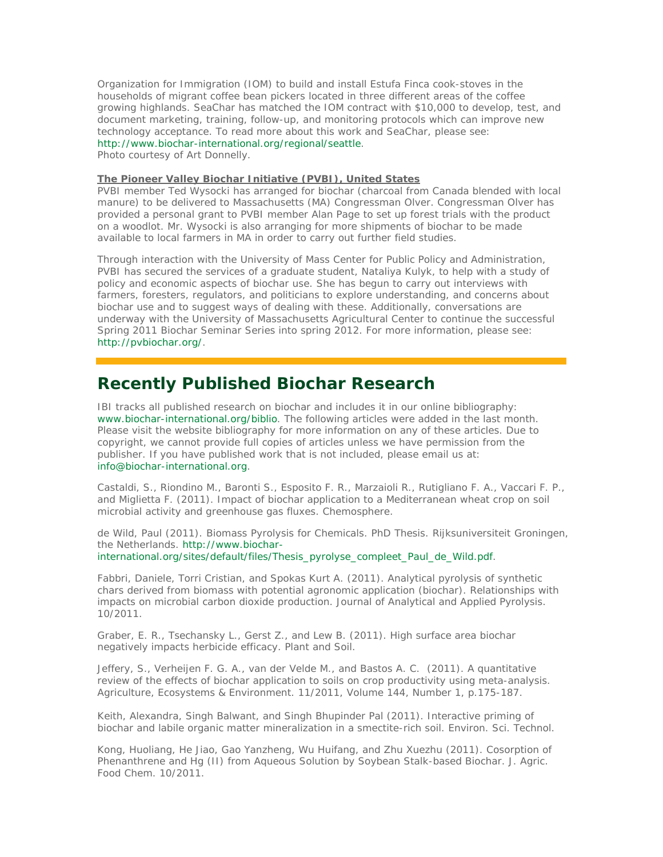Organization for Immigration (IOM) to build and install Estufa Finca cook-stoves in the households of migrant coffee bean pickers located in three different areas of the coffee growing highlands. SeaChar has matched the IOM contract with \$10,000 to develop, test, and document marketing, training, follow-up, and monitoring protocols which can improve new technology acceptance. To read more about this work and SeaChar, please see: http://www.biochar-international.org/regional/seattle.

Photo courtesy of Art Donnelly.

### **The Pioneer Valley Biochar Initiative (PVBI), United States**

PVBI member Ted Wysocki has arranged for biochar (charcoal from Canada blended with local manure) to be delivered to Massachusetts (MA) Congressman Olver. Congressman Olver has provided a personal grant to PVBI member Alan Page to set up forest trials with the product on a woodlot. Mr. Wysocki is also arranging for more shipments of biochar to be made available to local farmers in MA in order to carry out further field studies.

Through interaction with the University of Mass Center for Public Policy and Administration, PVBI has secured the services of a graduate student, Nataliya Kulyk, to help with a study of policy and economic aspects of biochar use. She has begun to carry out interviews with farmers, foresters, regulators, and politicians to explore understanding, and concerns about biochar use and to suggest ways of dealing with these. Additionally, conversations are underway with the University of Massachusetts Agricultural Center to continue the successful Spring 2011 Biochar Seminar Series into spring 2012. For more information, please see: http://pvbiochar.org/.

### **Recently Published Biochar Research**

IBI tracks all published research on biochar and includes it in our online bibliography: www.biochar-international.org/biblio. The following articles were added in the last month. Please visit the website bibliography for more information on any of these articles. Due to copyright, we cannot provide full copies of articles unless we have permission from the publisher. If you have published work that is not included, please email us at: info@biochar-international.org.

Castaldi, S., Riondino M., Baronti S., Esposito F. R., Marzaioli R., Rutigliano F. A., Vaccari F. P., and Miglietta F. (2011). Impact of biochar application to a Mediterranean wheat crop on soil microbial activity and greenhouse gas fluxes. Chemosphere.

de Wild, Paul (2011). Biomass Pyrolysis for Chemicals. PhD Thesis. Rijksuniversiteit Groningen, the Netherlands. http://www.biocharinternational.org/sites/default/files/Thesis\_pyrolyse\_compleet\_Paul\_de\_Wild.pdf.

Fabbri, Daniele, Torri Cristian, and Spokas Kurt A. (2011). Analytical pyrolysis of synthetic chars derived from biomass with potential agronomic application (biochar). Relationships with impacts on microbial carbon dioxide production. Journal of Analytical and Applied Pyrolysis. 10/2011.

Graber, E. R., Tsechansky L., Gerst Z., and Lew B. (2011). High surface area biochar negatively impacts herbicide efficacy. Plant and Soil.

Jeffery, S., Verheijen F. G. A., van der Velde M., and Bastos A. C. (2011). A quantitative review of the effects of biochar application to soils on crop productivity using meta-analysis. Agriculture, Ecosystems & Environment. 11/2011, Volume 144, Number 1, p.175-187.

Keith, Alexandra, Singh Balwant, and Singh Bhupinder Pal (2011). Interactive priming of biochar and labile organic matter mineralization in a smectite-rich soil. Environ. Sci. Technol.

Kong, Huoliang, He Jiao, Gao Yanzheng, Wu Huifang, and Zhu Xuezhu (2011). Cosorption of Phenanthrene and Hg (II) from Aqueous Solution by Soybean Stalk-based Biochar. J. Agric. Food Chem. 10/2011.